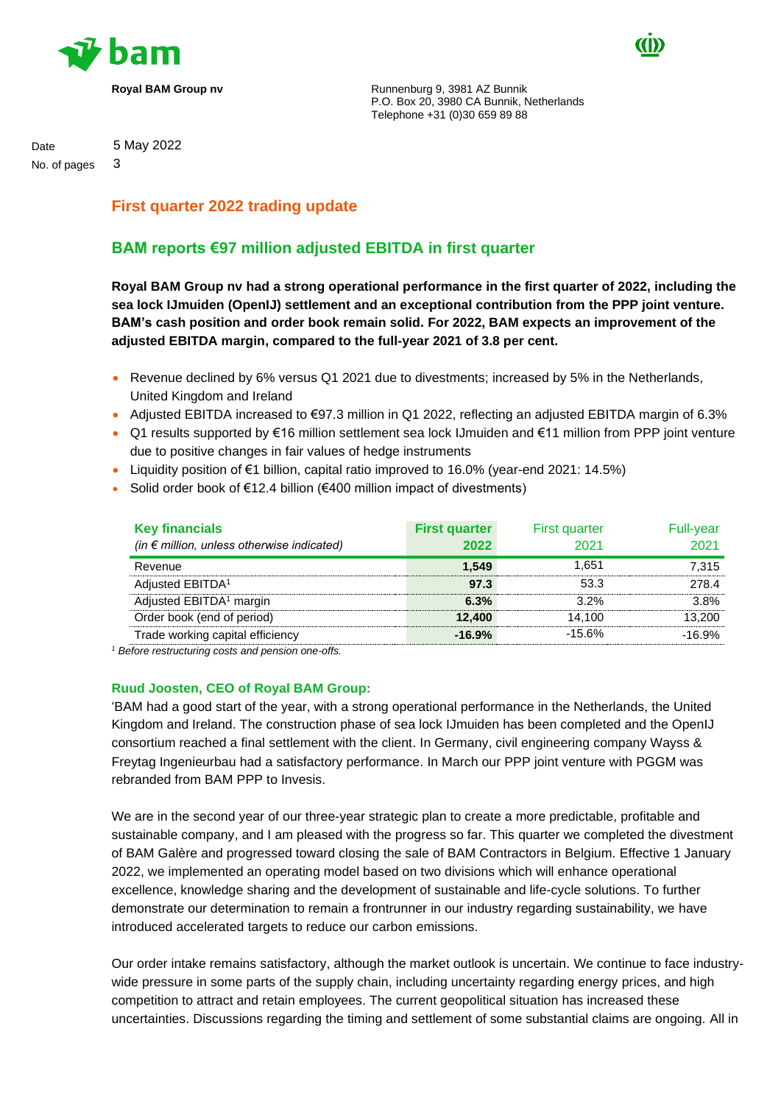



**Royal BAM Group nv Runnenburg 9, 3981 AZ Bunnik** P.O. Box 20, 3980 CA Bunnik, Netherlands Telephone +31 (0)30 659 89 88

# Date 5 May 2022

No. of pages 3

# **First quarter 2022 trading update**

# **BAM reports €97 million adjusted EBITDA in first quarter**

**Royal BAM Group nv had a strong operational performance in the first quarter of 2022, including the sea lock IJmuiden (OpenIJ) settlement and an exceptional contribution from the PPP joint venture. BAM's cash position and order book remain solid. For 2022, BAM expects an improvement of the adjusted EBITDA margin, compared to the full-year 2021 of 3.8 per cent.**

- Revenue declined by 6% versus Q1 2021 due to divestments; increased by 5% in the Netherlands, United Kingdom and Ireland
- Adjusted EBITDA increased to €97.3 million in Q1 2022, reflecting an adjusted EBITDA margin of 6.3%
- Q1 results supported by €16 million settlement sea lock IJmuiden and €11 million from PPP joint venture due to positive changes in fair values of hedge instruments
- Liquidity position of €1 billion, capital ratio improved to 16.0% (year-end 2021: 14.5%)
- Solid order book of €12.4 billion (€400 million impact of divestments)

| <b>Key financials</b><br>(in $\epsilon$ million, unless otherwise indicated) | <b>First quarter</b><br>2022 | <b>First quarter</b><br>2021 | <b>Full-year</b><br>2021 |
|------------------------------------------------------------------------------|------------------------------|------------------------------|--------------------------|
| Revenue                                                                      | 1.549                        | 1.651                        | 7.315                    |
| Adjusted EBITDA <sup>1</sup>                                                 | 97.3                         | 53.3                         | 278.4                    |
| Adjusted EBITDA <sup>1</sup> margin                                          | 6.3%                         | $3.2\%$                      | 3.8%                     |
| Order book (end of period)                                                   | 12,400                       | 14.100                       | 13.200                   |
| Trade working capital efficiency                                             | $-16.9%$                     | $-15.6%$                     | $-16.9%$                 |

*<sup>1</sup> Before restructuring costs and pension one-offs.*

## **Ruud Joosten, CEO of Royal BAM Group:**

'BAM had a good start of the year, with a strong operational performance in the Netherlands, the United Kingdom and Ireland. The construction phase of sea lock IJmuiden has been completed and the OpenIJ consortium reached a final settlement with the client. In Germany, civil engineering company Wayss & Freytag Ingenieurbau had a satisfactory performance. In March our PPP joint venture with PGGM was rebranded from BAM PPP to Invesis.

We are in the second year of our three-year strategic plan to create a more predictable, profitable and sustainable company, and I am pleased with the progress so far. This quarter we completed the divestment of BAM Galère and progressed toward closing the sale of BAM Contractors in Belgium. Effective 1 January 2022, we implemented an operating model based on two divisions which will enhance operational excellence, knowledge sharing and the development of sustainable and life-cycle solutions. To further demonstrate our determination to remain a frontrunner in our industry regarding sustainability, we have introduced accelerated targets to reduce our carbon emissions.

Our order intake remains satisfactory, although the market outlook is uncertain. We continue to face industrywide pressure in some parts of the supply chain, including uncertainty regarding energy prices, and high competition to attract and retain employees. The current geopolitical situation has increased these uncertainties. Discussions regarding the timing and settlement of some substantial claims are ongoing. All in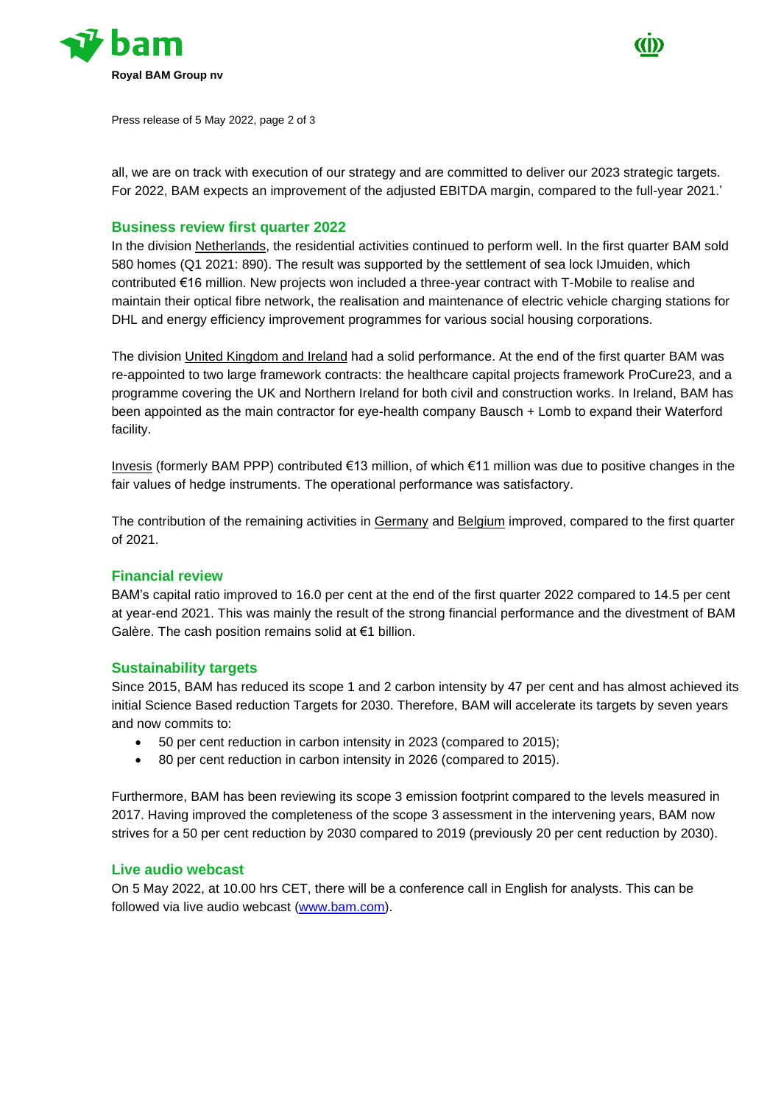



Press release of 5 May 2022, page 2 of 3

all, we are on track with execution of our strategy and are committed to deliver our 2023 strategic targets. For 2022, BAM expects an improvement of the adjusted EBITDA margin, compared to the full-year 2021.'

#### **Business review first quarter 2022**

In the division Netherlands, the residential activities continued to perform well. In the first quarter BAM sold 580 homes (Q1 2021: 890). The result was supported by the settlement of sea lock IJmuiden, which contributed €16 million. New projects won included a three-year contract with T-Mobile to realise and maintain their optical fibre network, the realisation and maintenance of electric vehicle charging stations for DHL and energy efficiency improvement programmes for various social housing corporations.

The division United Kingdom and Ireland had a solid performance. At the end of the first quarter BAM was re-appointed to two large framework contracts: the healthcare capital projects framework ProCure23, and a programme covering the UK and Northern Ireland for both civil and construction works. In Ireland, BAM has been appointed as the main contractor for eye-health company Bausch + Lomb to expand their Waterford facility.

Invesis (formerly BAM PPP) contributed €13 million, of which €11 million was due to positive changes in the fair values of hedge instruments. The operational performance was satisfactory.

The contribution of the remaining activities in Germany and Belgium improved, compared to the first quarter of 2021.

#### **Financial review**

BAM's capital ratio improved to 16.0 per cent at the end of the first quarter 2022 compared to 14.5 per cent at year-end 2021. This was mainly the result of the strong financial performance and the divestment of BAM Galère. The cash position remains solid at €1 billion.

#### **Sustainability targets**

Since 2015, BAM has reduced its scope 1 and 2 carbon intensity by 47 per cent and has almost achieved its initial Science Based reduction Targets for 2030. Therefore, BAM will accelerate its targets by seven years and now commits to:

- 50 per cent reduction in carbon intensity in 2023 (compared to 2015);
- 80 per cent reduction in carbon intensity in 2026 (compared to 2015).

Furthermore, BAM has been reviewing its scope 3 emission footprint compared to the levels measured in 2017. Having improved the completeness of the scope 3 assessment in the intervening years, BAM now strives for a 50 per cent reduction by 2030 compared to 2019 (previously 20 per cent reduction by 2030).

### **Live audio webcast**

On 5 May 2022, at 10.00 hrs CET, there will be a conference call in English for analysts. This can be followed via live audio webcast [\(www.bam.com\)](http://www.bam.com/).